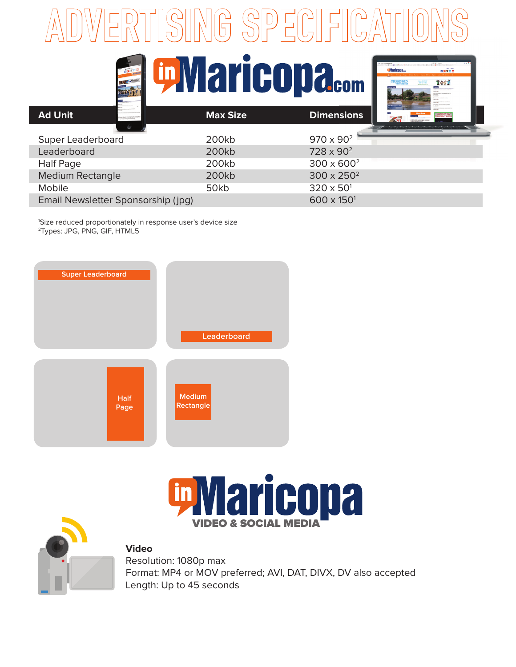## **ADVERTISING SPECIFICATIONS**



navide 2117

| <b>Ad Unit</b>                     | <b>Max Size</b> | <b>Dimensions</b><br><b>Sport Kevi</b> Andreas (1977)<br><b>RS HOLENY SIASC</b> |
|------------------------------------|-----------------|---------------------------------------------------------------------------------|
|                                    |                 |                                                                                 |
| Super Leaderboard                  | 200kb           | $970 \times 90^{2}$                                                             |
| Leaderboard                        | 200kb           | $728 \times 90^2$                                                               |
| <b>Half Page</b>                   | 200kb           | $300 \times 600^2$                                                              |
| <b>Medium Rectangle</b>            | 200kb           | $300 \times 250^2$                                                              |
| <b>Mobile</b>                      | 50kb            | $320 \times 50^{1}$                                                             |
| Email Newsletter Sponsorship (jpg) |                 | $600 \times 150^{1}$                                                            |

1 Size reduced proportionately in response user's device size 2Types: JPG, PNG, GIF, HTML5





**in Maricona** 

**Video**

Resolution: 1080p max Format: MP4 or MOV preferred; AVI, DAT, DIVX, DV also accepted Length: Up to 45 seconds